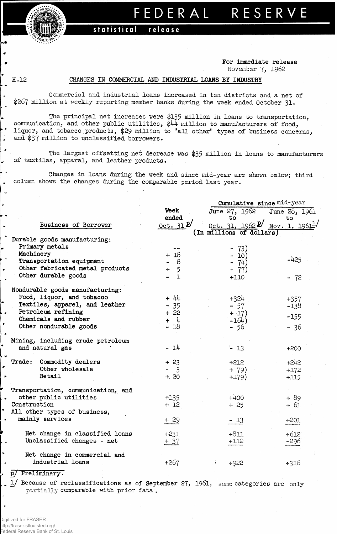**of GOVER** FRAL RESERT

## **FEDERA L RESERV E**

## statistical releas e

## **For Immediate release November 7, 1962**

**H.12** 

.

 $\overline{a}$ 

 $\ddot{\phantom{0}}$ 

 $\mathbf{r}$ 

ă.

## **CHANGES IN COMMERCIAL AND INDUSTRIAL LOANS BY INDUSTRY**

**Commercial and industrial loans increased in ten districts and a net of \$267 million at weekly reporting member banks during the week ended October** 31\*

**The principal net increases were |135 million in loans to transportation, communication, and other public utilities, \$44 million to manufacturers of food, liquor, and tobacco products, \$29 million to "all other" types of business concerns, and \$37 million to unclassified borrowers.**

**The largest offsetting net decrease was** \$35 **million in loans to manufacturers of textiles, apparel, and leather products.**

**L . Changes in loans during the week and since mid-year are shown below; third column shows the changes during the comparable period last year.**

|                                     |                                    | Cumulative since mid-year                                             |               |  |  |  |  |  |
|-------------------------------------|------------------------------------|-----------------------------------------------------------------------|---------------|--|--|--|--|--|
|                                     | Week                               | June 27, 1962                                                         | June 28, 1961 |  |  |  |  |  |
|                                     | ended                              | $\overline{\text{to}}$                                                | to            |  |  |  |  |  |
| Business of Borrower                | $_{\text{Oct.}}$ 31 $\mathcal{D}'$ | $0$ ct. 31, 1962 <sup><math>p'</math></sup> Nov. 1, 1961 <sup>1</sup> |               |  |  |  |  |  |
|                                     |                                    | (In millions of dollars)                                              |               |  |  |  |  |  |
| Durable goods manufacturing:        |                                    |                                                                       |               |  |  |  |  |  |
| Primary metals                      | $\cdots$                           | - 73)                                                                 |               |  |  |  |  |  |
| Machinery                           | $+18$                              | - 10)                                                                 |               |  |  |  |  |  |
| Transportation equipment            | - 8                                | -74)                                                                  | $-425$        |  |  |  |  |  |
| Other fabricated metal products     | 5<br>÷                             | - 77)                                                                 |               |  |  |  |  |  |
| Other durable goods                 | $\overline{1}$                     | $+110$                                                                | $-72$         |  |  |  |  |  |
|                                     |                                    |                                                                       |               |  |  |  |  |  |
| Nondurable goods manufacturing:     |                                    |                                                                       |               |  |  |  |  |  |
| Food, liquor, and tobacco           | $+ 44$                             | $+324$                                                                | $+357$        |  |  |  |  |  |
| Textiles, apparel, and leather      | $-35$                              | $-57$                                                                 | $-138$        |  |  |  |  |  |
| Petroleum refining                  | $+22$                              | $+17)$                                                                |               |  |  |  |  |  |
| Chemicals and rubber                | + 4                                | $-164)$                                                               | $-155$        |  |  |  |  |  |
| Other nondurable goods              | $-18$                              | - 56                                                                  | $-36$         |  |  |  |  |  |
|                                     |                                    |                                                                       |               |  |  |  |  |  |
| Mining, including crude petroleum   |                                    |                                                                       |               |  |  |  |  |  |
| and natural gas                     | $-14$                              | $-13$                                                                 | $+200$        |  |  |  |  |  |
|                                     |                                    |                                                                       |               |  |  |  |  |  |
| Commodity dealers<br><b>Trade :</b> | $+23$                              | $+212$                                                                | $+242$        |  |  |  |  |  |
| Other wholesale                     | $-3$                               | $+ 79)$                                                               | $+172$        |  |  |  |  |  |
| Retail                              | $+20$                              | $+179)$                                                               | $+115$        |  |  |  |  |  |
|                                     |                                    |                                                                       |               |  |  |  |  |  |
| Transportation, communication, and  |                                    |                                                                       |               |  |  |  |  |  |
| other public utilities              | $+135$                             | $+400$                                                                | $+89$         |  |  |  |  |  |
| Construction                        | $+12$                              | $+25$                                                                 | $+61$         |  |  |  |  |  |
| All other types of business,        |                                    |                                                                       |               |  |  |  |  |  |
| mainly services                     | $+29$                              | $-13$                                                                 | $+201$        |  |  |  |  |  |
|                                     |                                    |                                                                       |               |  |  |  |  |  |
| Net change in classified loans      | $+231$                             | $+811$                                                                | $+612$        |  |  |  |  |  |
| Unclassified changes - net          | $+37$                              | $+112$                                                                | -296          |  |  |  |  |  |
|                                     |                                    |                                                                       |               |  |  |  |  |  |
| Net change in commercial and        |                                    |                                                                       |               |  |  |  |  |  |
| industrial loans                    | +267                               | $+922$<br>$\mathbf{f}$                                                | $+316$        |  |  |  |  |  |
| Preliminary.<br>$_{\rm D/}$         |                                    |                                                                       |               |  |  |  |  |  |

**1/ Because of reclassifications as of September 27, 1961,** some **categories are only** partially **comparable with prior data .**